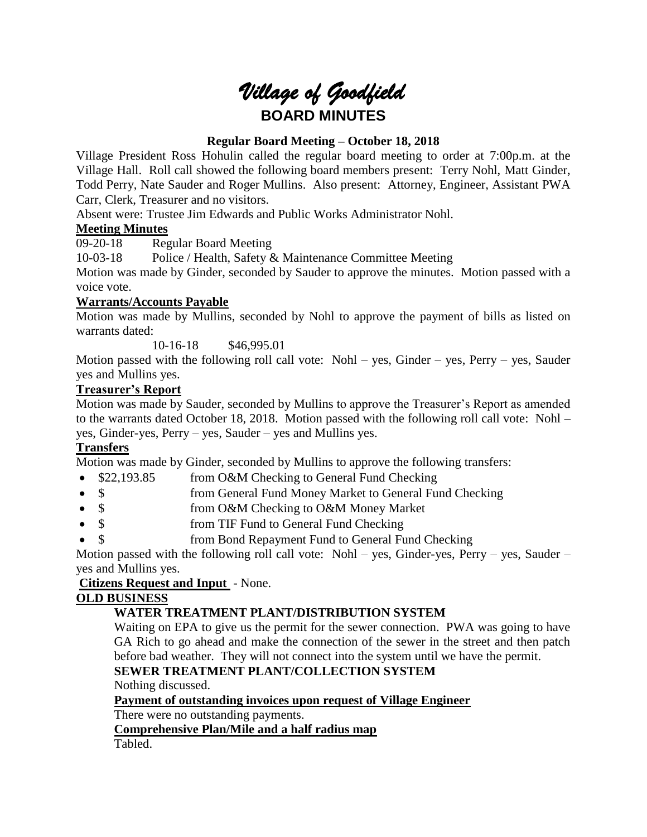# *Village of Goodfield* **BOARD MINUTES**

# **Regular Board Meeting – October 18, 2018**

Village President Ross Hohulin called the regular board meeting to order at 7:00p.m. at the Village Hall. Roll call showed the following board members present: Terry Nohl, Matt Ginder, Todd Perry, Nate Sauder and Roger Mullins. Also present: Attorney, Engineer, Assistant PWA Carr, Clerk, Treasurer and no visitors.

Absent were: Trustee Jim Edwards and Public Works Administrator Nohl.

#### **Meeting Minutes**

09-20-18 Regular Board Meeting

10-03-18 Police / Health, Safety & Maintenance Committee Meeting

Motion was made by Ginder, seconded by Sauder to approve the minutes. Motion passed with a voice vote.

## **Warrants/Accounts Payable**

Motion was made by Mullins, seconded by Nohl to approve the payment of bills as listed on warrants dated:

10-16-18 \$46,995.01

Motion passed with the following roll call vote: Nohl – yes, Ginder – yes, Perry – yes, Sauder yes and Mullins yes.

## **Treasurer's Report**

Motion was made by Sauder, seconded by Mullins to approve the Treasurer's Report as amended to the warrants dated October 18, 2018. Motion passed with the following roll call vote: Nohl – yes, Ginder-yes, Perry – yes, Sauder – yes and Mullins yes.

# **Transfers**

Motion was made by Ginder, seconded by Mullins to approve the following transfers:

- \$22,193.85 from O&M Checking to General Fund Checking
- \$ from General Fund Money Market to General Fund Checking
- \$ from O&M Checking to O&M Money Market
- \$ from TIF Fund to General Fund Checking
- \$ from Bond Repayment Fund to General Fund Checking

Motion passed with the following roll call vote: Nohl – yes, Ginder-yes, Perry – yes, Sauder – yes and Mullins yes.

#### **Citizens Request and Input** - None.

# **OLD BUSINESS**

# **WATER TREATMENT PLANT/DISTRIBUTION SYSTEM**

Waiting on EPA to give us the permit for the sewer connection. PWA was going to have GA Rich to go ahead and make the connection of the sewer in the street and then patch before bad weather. They will not connect into the system until we have the permit.

# **SEWER TREATMENT PLANT/COLLECTION SYSTEM**

Nothing discussed.

# **Payment of outstanding invoices upon request of Village Engineer**

There were no outstanding payments.

#### **Comprehensive Plan/Mile and a half radius map**

Tabled.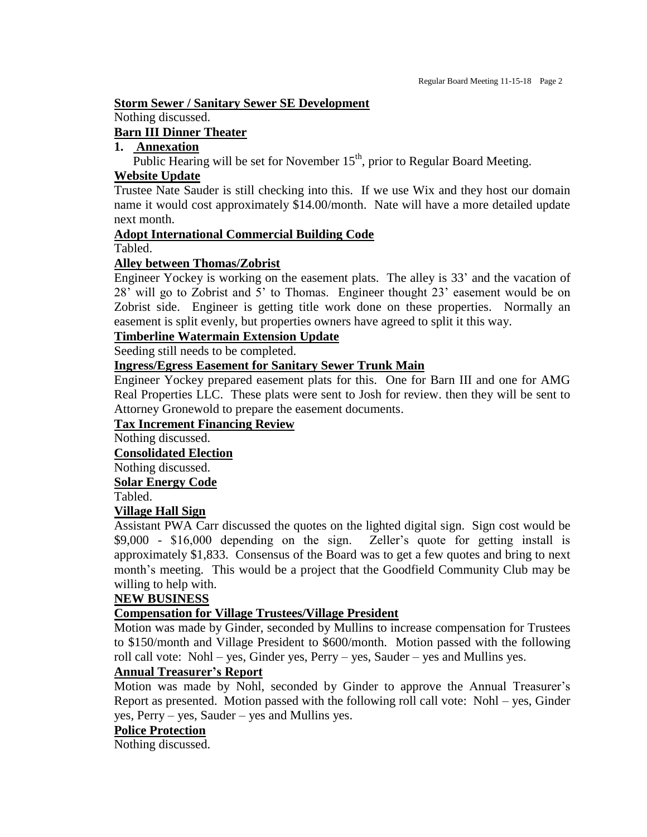#### **Storm Sewer / Sanitary Sewer SE Development**

Nothing discussed.

#### **Barn III Dinner Theater**

# **1. Annexation**

Public Hearing will be set for November  $15<sup>th</sup>$ , prior to Regular Board Meeting.

#### **Website Update**

Trustee Nate Sauder is still checking into this. If we use Wix and they host our domain name it would cost approximately \$14.00/month. Nate will have a more detailed update next month.

#### **Adopt International Commercial Building Code**

Tabled.

#### **Alley between Thomas/Zobrist**

Engineer Yockey is working on the easement plats. The alley is 33' and the vacation of 28' will go to Zobrist and 5' to Thomas. Engineer thought 23' easement would be on Zobrist side. Engineer is getting title work done on these properties. Normally an easement is split evenly, but properties owners have agreed to split it this way.

## **Timberline Watermain Extension Update**

Seeding still needs to be completed.

#### **Ingress/Egress Easement for Sanitary Sewer Trunk Main**

Engineer Yockey prepared easement plats for this. One for Barn III and one for AMG Real Properties LLC. These plats were sent to Josh for review. then they will be sent to Attorney Gronewold to prepare the easement documents.

#### **Tax Increment Financing Review**

Nothing discussed.

**Consolidated Election**

Nothing discussed.

**Solar Energy Code**

Tabled.

#### **Village Hall Sign**

Assistant PWA Carr discussed the quotes on the lighted digital sign. Sign cost would be \$9,000 - \$16,000 depending on the sign. Zeller's quote for getting install is approximately \$1,833. Consensus of the Board was to get a few quotes and bring to next month's meeting. This would be a project that the Goodfield Community Club may be willing to help with.

#### **NEW BUSINESS**

# **Compensation for Village Trustees/Village President**

Motion was made by Ginder, seconded by Mullins to increase compensation for Trustees to \$150/month and Village President to \$600/month. Motion passed with the following roll call vote: Nohl – yes, Ginder yes, Perry – yes, Sauder – yes and Mullins yes.

#### **Annual Treasurer's Report**

Motion was made by Nohl, seconded by Ginder to approve the Annual Treasurer's Report as presented. Motion passed with the following roll call vote: Nohl – yes, Ginder yes, Perry – yes, Sauder – yes and Mullins yes.

# **Police Protection**

Nothing discussed.